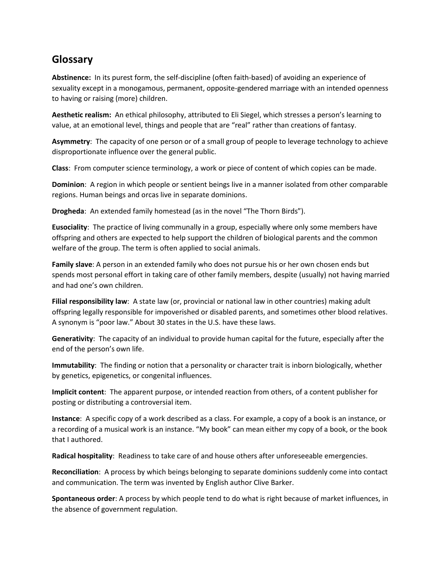## **Glossary**

**Abstinence:** In its purest form, the self-discipline (often faith-based) of avoiding an experience of sexuality except in a monogamous, permanent, opposite-gendered marriage with an intended openness to having or raising (more) children.

**Aesthetic realism:** An ethical philosophy, attributed to Eli Siegel, which stresses a person's learning to value, at an emotional level, things and people that are "real" rather than creations of fantasy.

**Asymmetry**: The capacity of one person or of a small group of people to leverage technology to achieve disproportionate influence over the general public.

**Class**: From computer science terminology, a work or piece of content of which copies can be made.

**Dominion**: A region in which people or sentient beings live in a manner isolated from other comparable regions. Human beings and orcas live in separate dominions.

**Drogheda**: An extended family homestead (as in the novel "The Thorn Birds").

**Eusociality**: The practice of living communally in a group, especially where only some members have offspring and others are expected to help support the children of biological parents and the common welfare of the group. The term is often applied to social animals.

**Family slave**: A person in an extended family who does not pursue his or her own chosen ends but spends most personal effort in taking care of other family members, despite (usually) not having married and had one's own children.

**Filial responsibility law**: A state law (or, provincial or national law in other countries) making adult offspring legally responsible for impoverished or disabled parents, and sometimes other blood relatives. A synonym is "poor law." About 30 states in the U.S. have these laws.

**Generativity**: The capacity of an individual to provide human capital for the future, especially after the end of the person's own life.

**Immutability**: The finding or notion that a personality or character trait is inborn biologically, whether by genetics, epigenetics, or congenital influences.

**Implicit content**: The apparent purpose, or intended reaction from others, of a content publisher for posting or distributing a controversial item.

**Instance**: A specific copy of a work described as a class. For example, a copy of a book is an instance, or a recording of a musical work is an instance. "My book" can mean either my copy of a book, or the book that I authored.

**Radical hospitality**: Readiness to take care of and house others after unforeseeable emergencies.

**Reconciliation**: A process by which beings belonging to separate dominions suddenly come into contact and communication. The term was invented by English author Clive Barker.

**Spontaneous order**: A process by which people tend to do what is right because of market influences, in the absence of government regulation.